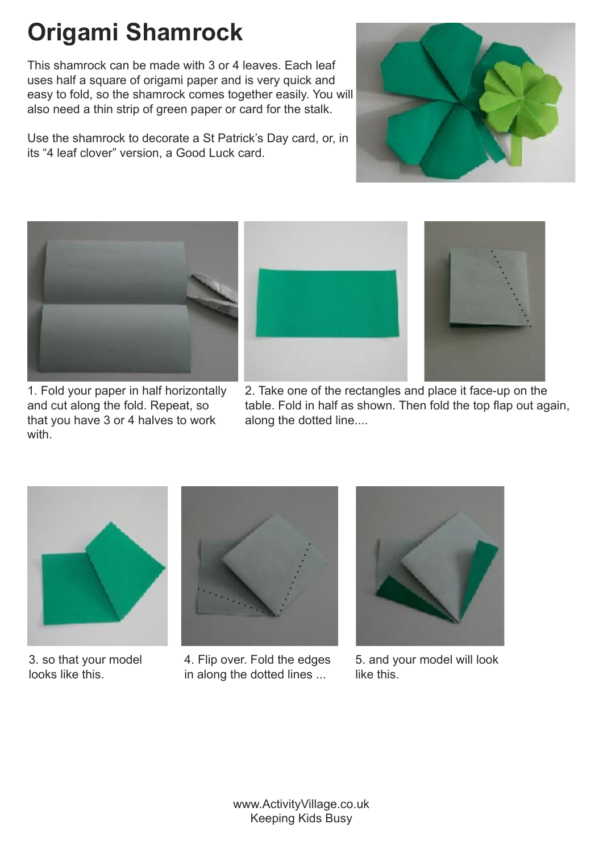## **Origami Shamrock**

This shamrock can be made with 3 or 4 leaves. Each leaf uses half a square of origami paper and is very quick and easy to fold, so the shamrock comes together easily. You will also need a thin strip of green paper or card for the stalk.

Use the shamrock to decorate a St Patrick's Day card, or, in its "4 leaf clover" version, a Good Luck card.





1. Fold your paper in half horizontally and cut along the fold. Repeat, so that you have 3 or 4 halves to work with.





2. Take one of the rectangles and place it face-up on the table. Fold in half as shown. Then fold the top flap out again, along the dotted line....



3. so that your model looks like this.



4. Flip over. Fold the edges in along the dotted lines ...



5. and your model will look like this.